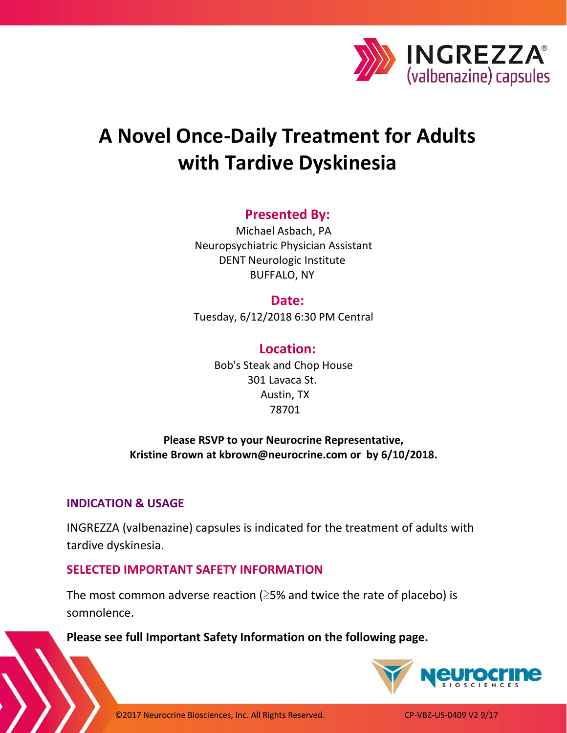

# **A Novel Once-Daily Treatment for Adults with Tardive Dyskinesia**

# **Presented By:**

Michael Asbach, PA Neuropsychiatric Physician Assistant DENT Neurologic Institute BUFFALO, NY

**Date:**

Tuesday, 6/12/2018 6:30 PM Central

#### **Location:**

Bob's Steak and Chop House 301 Lavaca St. Austin, TX 78701

# **Please RSVP to your Neurocrine Representative, Kristine Brown at kbrown@neurocrine.com or by 6/10/2018.**

#### **INDICATION & USAGE**

l ١

INGREZZA (valbenazine) capsules is indicated for the treatment of adults with tardive dyskinesia.

# **SELECTED IMPORTANT SAFETY INFORMATION**

The most common adverse reaction ( $\geq$ 5% and twice the rate of placebo) is somnolence.

**Please see full Important Safety Information on the following page.**